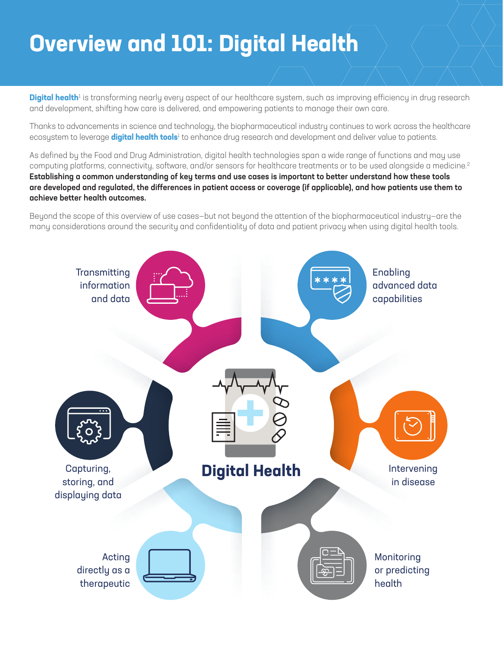# **Overview and 101: Digital Health**

**Digital health**1 is transforming nearly every aspect of our healthcare system, such as improving efficiency in drug research and development, shifting how care is delivered, and empowering patients to manage their own care.

Thanks to advancements in science and technology, the biopharmaceutical industry continues to work across the healthcare ecosystem to leverage **digital health tools**<sup>1</sup> to enhance drug research and development and deliver value to patients.

As defined by the Food and Drug Administration, digital health technologies span a wide range of functions and may use computing platforms, connectivity, software, and/or sensors for healthcare treatments or to be used alongside a medicine.2 Establishing a common understanding of key terms and use cases is important to better understand how these tools are developed and regulated, the differences in patient access or coverage (if applicable), and how patients use them to achieve better health outcomes.

Beyond the scope of this overview of use cases—but not beyond the attention of the biopharmaceutical industry—are the many considerations around the security and confidentiality of data and patient privacy when using digital health tools.

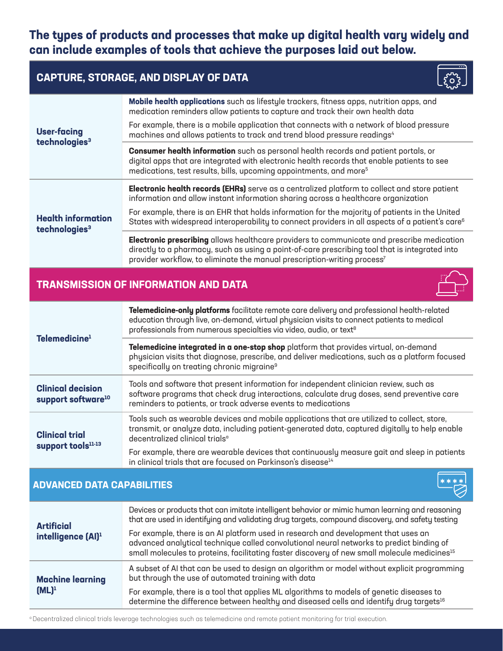# **The types of products and processes that make up digital health vary widely and can include examples of tools that achieve the purposes laid out below.**

## **CAPTURE, STORAGE, AND DISPLAY OF DATA**



## **TRANSMISSION OF INFORMATION AND DATA**

| Telemedicine <sup>1</sup>                                  | Telemedicine-only platforms facilitate remote care delivery and professional health-related<br>education through live, on-demand, virtual physician visits to connect patients to medical<br>professionals from numerous specialties via video, audio, or text <sup>8</sup> |
|------------------------------------------------------------|-----------------------------------------------------------------------------------------------------------------------------------------------------------------------------------------------------------------------------------------------------------------------------|
|                                                            | Telemedicine integrated in a one-stop shop platform that provides virtual, on-demand<br>physician visits that diagnose, prescribe, and deliver medications, such as a platform focused<br>specifically on treating chronic migraine <sup>9</sup>                            |
| <b>Clinical decision</b><br>support software <sup>10</sup> | Tools and software that present information for independent clinician review, such as<br>software programs that check drug interactions, calculate drug doses, send preventive care<br>reminders to patients, or track adverse events to medications                        |
| <b>Clinical trial</b><br>support tools <sup>11-13</sup>    | Tools such as wearable devices and mobile applications that are utilized to collect, store,<br>transmit, or analyze data, including patient-generated data, captured digitally to help enable<br>decentralized clinical trials <sup>a</sup>                                 |
|                                                            | For example, there are wearable devices that continuously measure gait and sleep in patients<br>in clinical trials that are focused on Parkinson's disease <sup>14</sup>                                                                                                    |

#### **ADVANCED DATA CAPABILITIES**

| <b>Artificial</b><br>intelligence (Al) <sup>1</sup> | Devices or products that can imitate intelligent behavior or mimic human learning and reasoning<br>that are used in identifying and validating drug targets, compound discovery, and safety testing                                                                                        |
|-----------------------------------------------------|--------------------------------------------------------------------------------------------------------------------------------------------------------------------------------------------------------------------------------------------------------------------------------------------|
|                                                     | For example, there is an AI platform used in research and development that uses an<br>advanced analytical technique called convolutional neural networks to predict binding of<br>small molecules to proteins, facilitating faster discovery of new small molecule medicines <sup>15</sup> |
| <b>Machine learning</b><br>$(ML)^1$                 | A subset of AI that can be used to design an algorithm or model without explicit programming<br>but through the use of automated training with data                                                                                                                                        |
|                                                     | For example, there is a tool that applies ML algorithms to models of genetic diseases to<br>determine the difference between healthy and diseased cells and identify drug targets <sup>16</sup>                                                                                            |

a Decentralized clinical trials leverage technologies such as telemedicine and remote patient monitoring for trial execution.



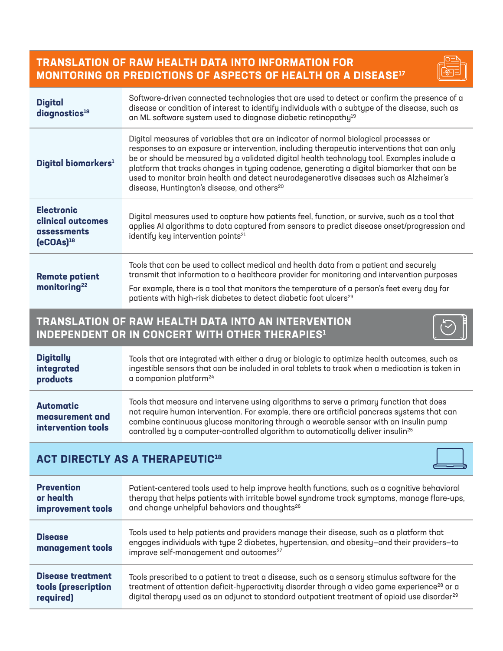## **TRANSLATION OF RAW HEALTH DATA INTO INFORMATION FOR MONITORING OR PREDICTIONS OF ASPECTS OF HEALTH OR A DISEASE17**

| <b>Digital</b><br>diagnostics <sup>18</sup>                             | Software-driven connected technologies that are used to detect or confirm the presence of a<br>disease or condition of interest to identify individuals with a subtype of the disease, such as<br>an ML software system used to diagnose diabetic retinopathy <sup>19</sup>                                                                                                                                                                                                                                                           |
|-------------------------------------------------------------------------|---------------------------------------------------------------------------------------------------------------------------------------------------------------------------------------------------------------------------------------------------------------------------------------------------------------------------------------------------------------------------------------------------------------------------------------------------------------------------------------------------------------------------------------|
| Digital biomarkers <sup>1</sup>                                         | Digital measures of variables that are an indicator of normal biological processes or<br>responses to an exposure or intervention, including therapeutic interventions that can only<br>be or should be measured by a validated digital health technology tool. Examples include a<br>platform that tracks changes in typing cadence, generating a digital biomarker that can be<br>used to monitor brain health and detect neurodegenerative diseases such as Alzheimer's<br>disease, Huntington's disease, and others <sup>20</sup> |
| <b>Electronic</b><br>clinical outcomes<br>assessments<br>$[eCOAs]^{18}$ | Digital measures used to capture how patients feel, function, or survive, such as a tool that<br>applies AI algorithms to data captured from sensors to predict disease onset/progression and<br>identify key intervention points <sup>21</sup>                                                                                                                                                                                                                                                                                       |
| <b>Remote patient</b><br>monitoring <sup>22</sup>                       | Tools that can be used to collect medical and health data from a patient and securely<br>transmit that information to a healthcare provider for monitoring and intervention purposes<br>For example, there is a tool that monitors the temperature of a person's feet every day for<br>patients with high-risk diabetes to detect diabetic foot ulcers <sup>23</sup>                                                                                                                                                                  |

## **TRANSLATION OF RAW HEALTH DATA INTO AN INTERVENTION INDEPENDENT OR IN CONCERT WITH OTHER THERAPIES<sup>1</sup>**

| <b>Digitally</b>                                          | Tools that are integrated with either a drug or biologic to optimize health outcomes, such as                                                                                                                                                                                                                                                                                  |
|-----------------------------------------------------------|--------------------------------------------------------------------------------------------------------------------------------------------------------------------------------------------------------------------------------------------------------------------------------------------------------------------------------------------------------------------------------|
| integrated                                                | ingestible sensors that can be included in oral tablets to track when a medication is taken in                                                                                                                                                                                                                                                                                 |
| products                                                  | a companion platform <sup>24</sup>                                                                                                                                                                                                                                                                                                                                             |
| <b>Automatic</b><br>measurement and<br>intervention tools | Tools that measure and intervene using algorithms to serve a primary function that does<br>not require human intervention. For example, there are artificial pancreas systems that can<br>combine continuous glucose monitoring through a wearable sensor with an insulin pump<br>controlled by a computer-controlled algorithm to automatically deliver insulin <sup>25</sup> |

## **ACT DIRECTLY AS A THERAPEUTIC<sup>18</sup>**



| <b>Prevention</b>                  | Patient-centered tools used to help improve health functions, such as a cognitive behavioral                                                                                                                                                |
|------------------------------------|---------------------------------------------------------------------------------------------------------------------------------------------------------------------------------------------------------------------------------------------|
| or health                          | therapy that helps patients with irritable bowel syndrome track symptoms, manage flare-ups,                                                                                                                                                 |
| improvement tools                  | and change unhelpful behaviors and thoughts <sup>26</sup>                                                                                                                                                                                   |
| <b>Disease</b><br>management tools | Tools used to help patients and providers manage their disease, such as a platform that<br>engages individuals with type 2 diabetes, hypertension, and obesity-and their providers-to<br>improve self-management and outcomes <sup>27</sup> |
| <b>Disease treatment</b>           | Tools prescribed to a patient to treat a disease, such as a sensory stimulus software for the                                                                                                                                               |
| tools (prescription                | treatment of attention deficit-hyperactivity disorder through a video game experience <sup>28</sup> or a                                                                                                                                    |
| required)                          | digital therapy used as an adjunct to standard outpatient treatment of opioid use disorder <sup>29</sup>                                                                                                                                    |